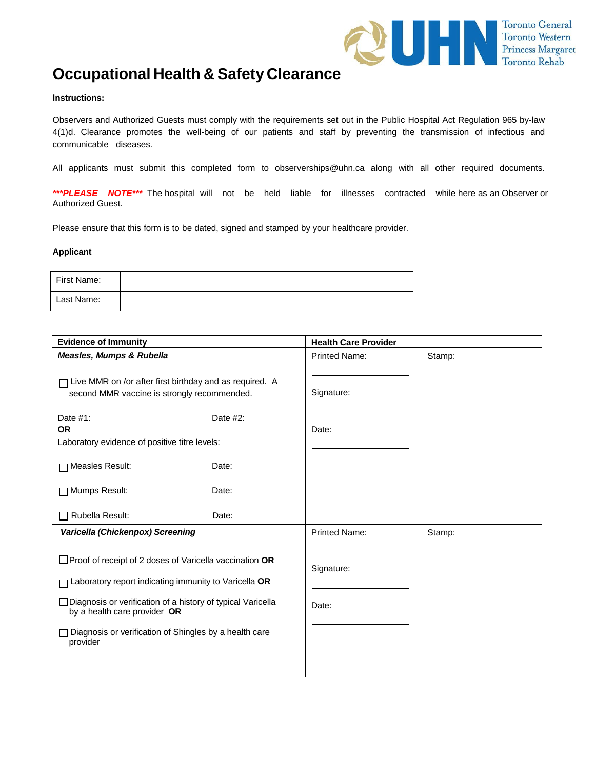

# **Occupational Health & Safety Clearance**

#### **Instructions:**

Observers and Authorized Guests must comply with the requirements set out in the Public Hospital Act Regulation 965 by-law 4(1)d. Clearance promotes the well-being of our patients and staff by preventing the transmission of infectious and communicable diseases.

All applicants must submit this completed form to [observerships@uhn.ca](mailto:observerships@uhn.ca) along with all other required documents.

*\*\*\*PLEASE NOTE\*\*\** The hospital will not be held liable for illnesses contracted while here as an Observer or Authorized Guest.

Please ensure that this form is to be dated, signed and stamped by your healthcare provider.

#### **Applicant**

| First Name: |  |
|-------------|--|
| Last Name:  |  |

| <b>Evidence of Immunity</b>                                                                                                                                                                                                                                                                      |             | <b>Health Care Provider</b> |        |
|--------------------------------------------------------------------------------------------------------------------------------------------------------------------------------------------------------------------------------------------------------------------------------------------------|-------------|-----------------------------|--------|
| Measles, Mumps & Rubella                                                                                                                                                                                                                                                                         |             | <b>Printed Name:</b>        | Stamp: |
| $\Box$ Live MMR on /or after first birthday and as required. A<br>second MMR vaccine is strongly recommended.                                                                                                                                                                                    |             | Signature:                  |        |
| Date $#1$ :<br><b>OR</b><br>Laboratory evidence of positive titre levels:                                                                                                                                                                                                                        | Date $#2$ : | Date:                       |        |
| TMeasles Result:<br>Date:                                                                                                                                                                                                                                                                        |             |                             |        |
| <b>O</b> Mumps Result:<br>Date:                                                                                                                                                                                                                                                                  |             |                             |        |
| Rubella Result:<br>Date:                                                                                                                                                                                                                                                                         |             |                             |        |
| Varicella (Chickenpox) Screening                                                                                                                                                                                                                                                                 |             | <b>Printed Name:</b>        | Stamp: |
| $\Box$ Proof of receipt of 2 doses of Varicella vaccination OR<br>T Laboratory report indicating immunity to Varicella OR<br>□ Diagnosis or verification of a history of typical Varicella<br>by a health care provider OR<br>Diagnosis or verification of Shingles by a health care<br>provider |             | Signature:<br>Date:         |        |
|                                                                                                                                                                                                                                                                                                  |             |                             |        |